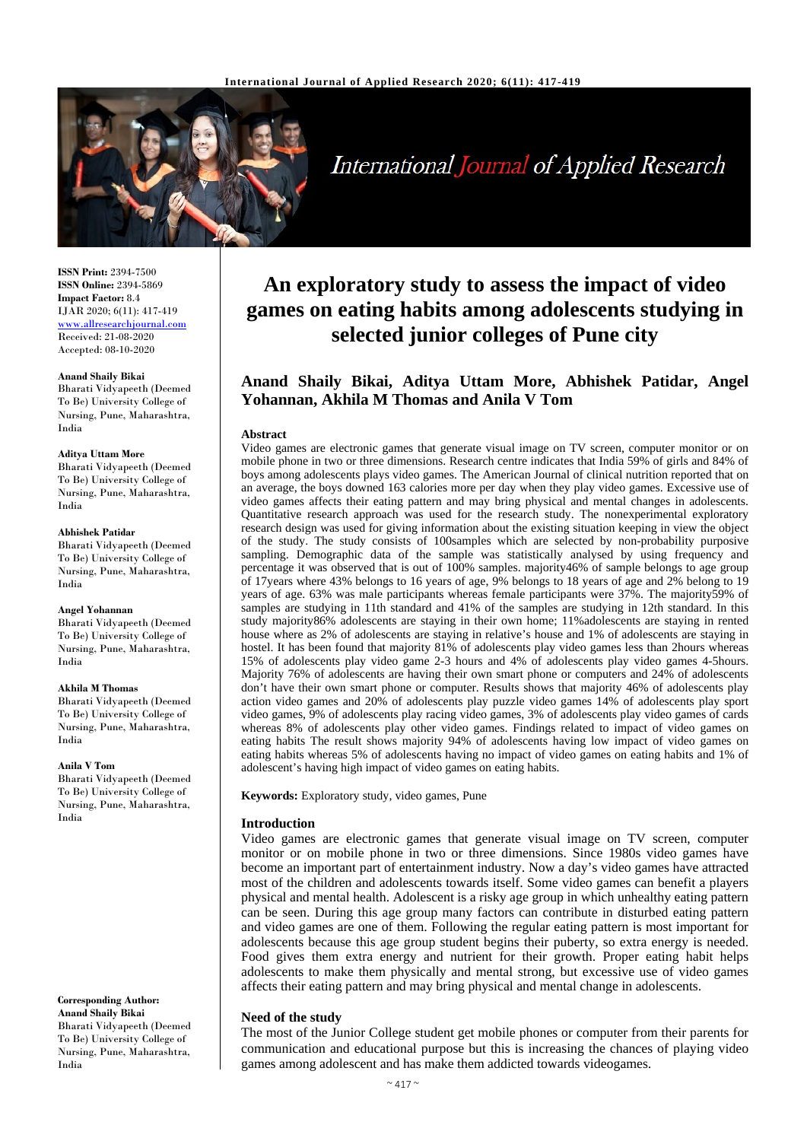

**International Journal of Applied Research** 

**ISSN Print:** 2394-7500 **ISSN Online:** 2394-5869 **Impact Factor:** 8.4 IJAR 2020; 6(11): 417-419 www.allresearchjournal.com Received: 21-08-2020 Accepted: 08-10-2020

#### **Anand Shaily Bikai**

Bharati Vidyapeeth (Deemed To Be) University College of Nursing, Pune, Maharashtra, India

#### **Aditya Uttam More**

Bharati Vidyapeeth (Deemed To Be) University College of Nursing, Pune, Maharashtra, India

#### **Abhishek Patidar**

Bharati Vidyapeeth (Deemed To Be) University College of Nursing, Pune, Maharashtra, India

#### **Angel Yohannan**

Bharati Vidyapeeth (Deemed To Be) University College of Nursing, Pune, Maharashtra, India

#### **Akhila M Thomas**

Bharati Vidyapeeth (Deemed To Be) University College of Nursing, Pune, Maharashtra, India

#### **Anila V Tom**

Bharati Vidyapeeth (Deemed To Be) University College of Nursing, Pune, Maharashtra, India

**Corresponding Author: Anand Shaily Bikai** Bharati Vidyapeeth (Deemed To Be) University College of Nursing, Pune, Maharashtra, India

# **An exploratory study to assess the impact of video games on eating habits among adolescents studying in selected junior colleges of Pune city**

## **Anand Shaily Bikai, Aditya Uttam More, Abhishek Patidar, Angel Yohannan, Akhila M Thomas and Anila V Tom**

#### **Abstract**

Video games are electronic games that generate visual image on TV screen, computer monitor or on mobile phone in two or three dimensions. Research centre indicates that India 59% of girls and 84% of boys among adolescents plays video games. The American Journal of clinical nutrition reported that on an average, the boys downed 163 calories more per day when they play video games. Excessive use of video games affects their eating pattern and may bring physical and mental changes in adolescents. Quantitative research approach was used for the research study. The nonexperimental exploratory research design was used for giving information about the existing situation keeping in view the object of the study. The study consists of 100samples which are selected by non-probability purposive sampling. Demographic data of the sample was statistically analysed by using frequency and percentage it was observed that is out of 100% samples. majority46% of sample belongs to age group of 17years where 43% belongs to 16 years of age, 9% belongs to 18 years of age and 2% belong to 19 years of age. 63% was male participants whereas female participants were 37%. The majority59% of samples are studying in 11th standard and 41% of the samples are studying in 12th standard. In this study majority86% adolescents are staying in their own home; 11%adolescents are staying in rented house where as 2% of adolescents are staying in relative's house and 1% of adolescents are staying in hostel. It has been found that majority 81% of adolescents play video games less than 2hours whereas 15% of adolescents play video game 2-3 hours and 4% of adolescents play video games 4-5hours. Majority 76% of adolescents are having their own smart phone or computers and 24% of adolescents don't have their own smart phone or computer. Results shows that majority 46% of adolescents play action video games and 20% of adolescents play puzzle video games 14% of adolescents play sport video games, 9% of adolescents play racing video games, 3% of adolescents play video games of cards whereas 8% of adolescents play other video games. Findings related to impact of video games on eating habits The result shows majority 94% of adolescents having low impact of video games on eating habits whereas 5% of adolescents having no impact of video games on eating habits and 1% of adolescent's having high impact of video games on eating habits.

**Keywords:** Exploratory study, video games, Pune

#### **Introduction**

Video games are electronic games that generate visual image on TV screen, computer monitor or on mobile phone in two or three dimensions. Since 1980s video games have become an important part of entertainment industry. Now a day's video games have attracted most of the children and adolescents towards itself. Some video games can benefit a players physical and mental health. Adolescent is a risky age group in which unhealthy eating pattern can be seen. During this age group many factors can contribute in disturbed eating pattern and video games are one of them. Following the regular eating pattern is most important for adolescents because this age group student begins their puberty, so extra energy is needed. Food gives them extra energy and nutrient for their growth. Proper eating habit helps adolescents to make them physically and mental strong, but excessive use of video games affects their eating pattern and may bring physical and mental change in adolescents.

#### **Need of the study**

The most of the Junior College student get mobile phones or computer from their parents for communication and educational purpose but this is increasing the chances of playing video games among adolescent and has make them addicted towards videogames.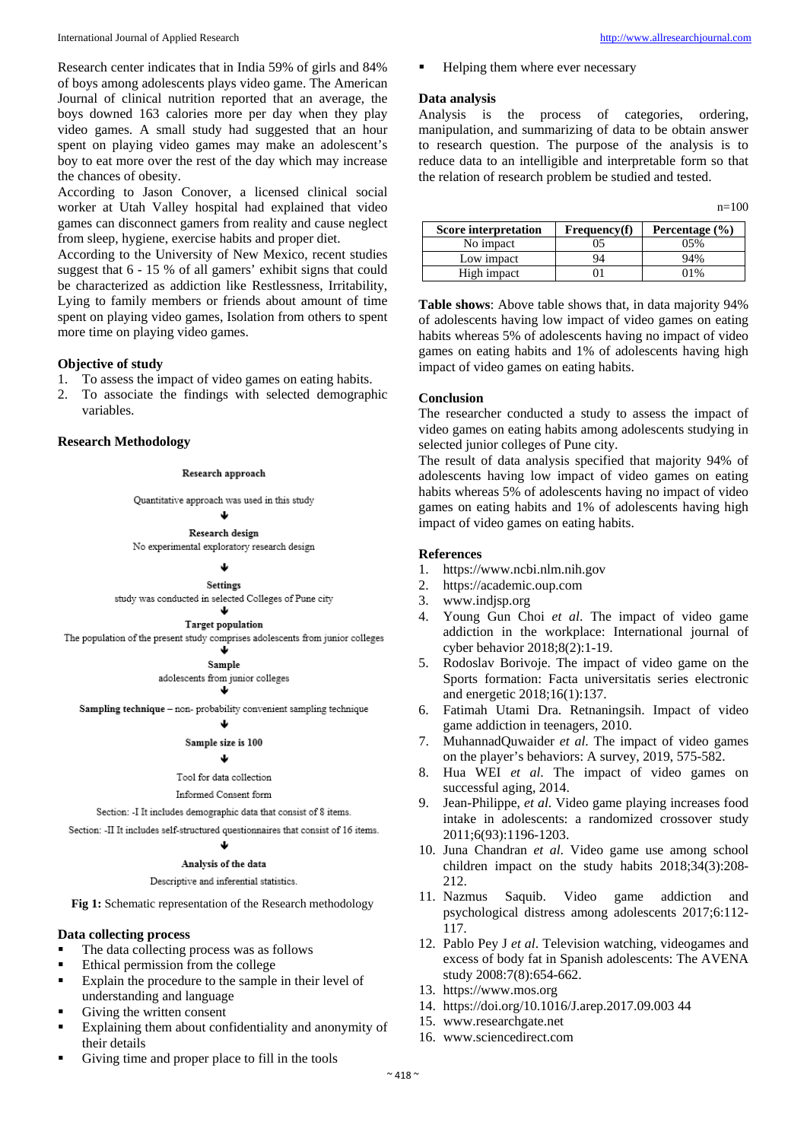Research center indicates that in India 59% of girls and 84% of boys among adolescents plays video game. The American Journal of clinical nutrition reported that an average, the boys downed 163 calories more per day when they play video games. A small study had suggested that an hour spent on playing video games may make an adolescent's boy to eat more over the rest of the day which may increase the chances of obesity.

According to Jason Conover, a licensed clinical social worker at Utah Valley hospital had explained that video games can disconnect gamers from reality and cause neglect from sleep, hygiene, exercise habits and proper diet.

According to the University of New Mexico, recent studies suggest that 6 - 15 % of all gamers' exhibit signs that could be characterized as addiction like Restlessness, Irritability, Lying to family members or friends about amount of time spent on playing video games, Isolation from others to spent more time on playing video games.

#### **Objective of study**

- 1. To assess the impact of video games on eating habits.
- 2. To associate the findings with selected demographic variables.

#### **Research Methodology**

#### Research approach

Quantitative approach was used in this study

#### J. Research design

No experimental exploratory research design

Settings

study was conducted in selected Colleges of Pune city J

## **Target population**

The population of the present study comprises adolescents from junior colleges

J.

Sample adolescents from junior colleges J.

Sampling technique - non- probability convenient sampling technique

#### J.

#### Sample size is 100

### J

## Tool for data collection

Informed Consent form

Section: -I It includes demographic data that consist of 8 items.

Section: -II It includes self-structured questionnaires that consist of 16 items.

#### J.

#### Analysis of the data

Descriptive and inferential statistics.

Fig 1: Schematic representation of the Research methodology

#### **Data collecting process**

- The data collecting process was as follows
- Ethical permission from the college
- **Explain the procedure to the sample in their level of** understanding and language
- Giving the written consent
- **Explaining them about confidentiality and anonymity of** their details
- Giving time and proper place to fill in the tools

 $n=100$ 

Helping them where ever necessary

#### **Data analysis**

Analysis is the process of categories, ordering, manipulation, and summarizing of data to be obtain answer to research question. The purpose of the analysis is to reduce data to an intelligible and interpretable form so that the relation of research problem be studied and tested.

| Score interpretation | <b>Frequency(f)</b> | Percentage $(\% )$ |
|----------------------|---------------------|--------------------|
| No impact            | כנ                  | 05%                |
| Low impact           | 94                  | 94%                |
| High impact          |                     | 10/                |

**Table shows**: Above table shows that, in data majority 94% of adolescents having low impact of video games on eating habits whereas 5% of adolescents having no impact of video games on eating habits and 1% of adolescents having high impact of video games on eating habits.

#### **Conclusion**

The researcher conducted a study to assess the impact of video games on eating habits among adolescents studying in selected junior colleges of Pune city.

The result of data analysis specified that majority 94% of adolescents having low impact of video games on eating habits whereas 5% of adolescents having no impact of video games on eating habits and 1% of adolescents having high impact of video games on eating habits.

#### **References**

- 1. https://www.ncbi.nlm.nih.gov<br>2. https://academic.oup.com
- 2. https://academic.oup.com
- 3. www.indjsp.org
- Young Gun Choi *et al.* The impact of video game addiction in the workplace: International journal of cyber behavior 2018;8(2):1-19.
- 5. Rodoslav Borivoje. The impact of video game on the Sports formation: Facta universitatis series electronic and energetic 2018;16(1):137.
- 6. Fatimah Utami Dra. Retnaningsih. Impact of video game addiction in teenagers, 2010.
- 7. MuhannadQuwaider *et al*. The impact of video games on the player's behaviors: A survey, 2019, 575-582.
- 8. Hua WEI *et al*. The impact of video games on successful aging, 2014.
- 9. Jean-Philippe, *et al*. Video game playing increases food intake in adolescents: a randomized crossover study 2011;6(93):1196-1203.
- 10. Juna Chandran *et al*. Video game use among school children impact on the study habits 2018;34(3):208- 212.
- 11. Nazmus Saquib. Video game addiction and psychological distress among adolescents 2017;6:112- 117.
- 12. Pablo Pey J *et al*. Television watching, videogames and excess of body fat in Spanish adolescents: The AVENA study 2008:7(8):654-662.
- 13. https://www.mos.org
- 14. https://doi.org/10.1016/J.arep.2017.09.003 44
- 15. www.researchgate.net
- 16. www.sciencedirect.com